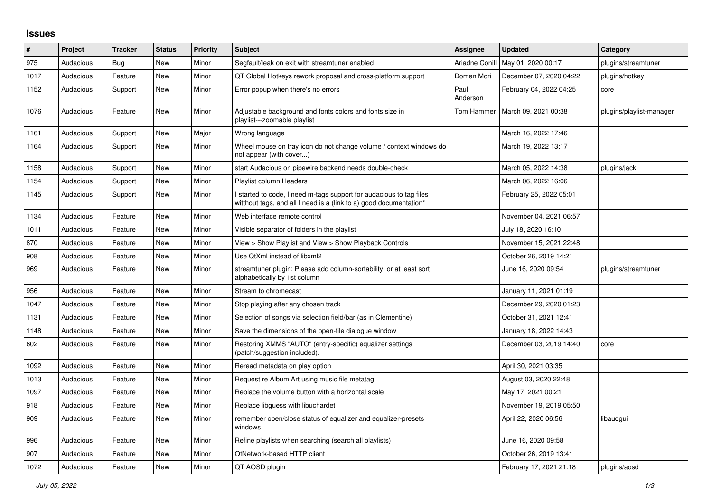## **Issues**

| $\pmb{\#}$ | Project   | <b>Tracker</b> | <b>Status</b> | <b>Priority</b> | <b>Subject</b>                                                                                                                            | <b>Assignee</b>  | <b>Updated</b>          | Category                 |
|------------|-----------|----------------|---------------|-----------------|-------------------------------------------------------------------------------------------------------------------------------------------|------------------|-------------------------|--------------------------|
| 975        | Audacious | <b>Bug</b>     | <b>New</b>    | Minor           | Segfault/leak on exit with streamtuner enabled                                                                                            | Ariadne Conill   | May 01, 2020 00:17      | plugins/streamtuner      |
| 1017       | Audacious | Feature        | <b>New</b>    | Minor           | QT Global Hotkeys rework proposal and cross-platform support                                                                              | Domen Mori       | December 07, 2020 04:22 | plugins/hotkey           |
| 1152       | Audacious | Support        | <b>New</b>    | Minor           | Error popup when there's no errors                                                                                                        | Paul<br>Anderson | February 04, 2022 04:25 | core                     |
| 1076       | Audacious | Feature        | New           | Minor           | Adjustable background and fonts colors and fonts size in<br>playlist---zoomable playlist                                                  | Tom Hammer       | March 09, 2021 00:38    | plugins/playlist-manager |
| 1161       | Audacious | Support        | <b>New</b>    | Major           | Wrong language                                                                                                                            |                  | March 16, 2022 17:46    |                          |
| 1164       | Audacious | Support        | New           | Minor           | Wheel mouse on tray icon do not change volume / context windows do<br>not appear (with cover)                                             |                  | March 19, 2022 13:17    |                          |
| 1158       | Audacious | Support        | New           | Minor           | start Audacious on pipewire backend needs double-check                                                                                    |                  | March 05, 2022 14:38    | plugins/jack             |
| 1154       | Audacious | Support        | New           | Minor           | Playlist column Headers                                                                                                                   |                  | March 06, 2022 16:06    |                          |
| 1145       | Audacious | Support        | <b>New</b>    | Minor           | I started to code, I need m-tags support for audacious to tag files<br>witthout tags, and all I need is a (link to a) good documentation* |                  | February 25, 2022 05:01 |                          |
| 1134       | Audacious | Feature        | New           | Minor           | Web interface remote control                                                                                                              |                  | November 04, 2021 06:57 |                          |
| 1011       | Audacious | Feature        | <b>New</b>    | Minor           | Visible separator of folders in the playlist                                                                                              |                  | July 18, 2020 16:10     |                          |
| 870        | Audacious | Feature        | <b>New</b>    | Minor           | View > Show Playlist and View > Show Playback Controls                                                                                    |                  | November 15, 2021 22:48 |                          |
| 908        | Audacious | Feature        | <b>New</b>    | Minor           | Use QtXml instead of libxml2                                                                                                              |                  | October 26, 2019 14:21  |                          |
| 969        | Audacious | Feature        | New           | Minor           | streamtuner plugin: Please add column-sortability, or at least sort<br>alphabetically by 1st column                                       |                  | June 16, 2020 09:54     | plugins/streamtuner      |
| 956        | Audacious | Feature        | New           | Minor           | Stream to chromecast                                                                                                                      |                  | January 11, 2021 01:19  |                          |
| 1047       | Audacious | Feature        | <b>New</b>    | Minor           | Stop playing after any chosen track                                                                                                       |                  | December 29, 2020 01:23 |                          |
| 1131       | Audacious | Feature        | <b>New</b>    | Minor           | Selection of songs via selection field/bar (as in Clementine)                                                                             |                  | October 31, 2021 12:41  |                          |
| 1148       | Audacious | Feature        | New           | Minor           | Save the dimensions of the open-file dialogue window                                                                                      |                  | January 18, 2022 14:43  |                          |
| 602        | Audacious | Feature        | <b>New</b>    | Minor           | Restoring XMMS "AUTO" (entry-specific) equalizer settings<br>(patch/suggestion included).                                                 |                  | December 03, 2019 14:40 | core                     |
| 1092       | Audacious | Feature        | New           | Minor           | Reread metadata on play option                                                                                                            |                  | April 30, 2021 03:35    |                          |
| 1013       | Audacious | Feature        | <b>New</b>    | Minor           | Request re Album Art using music file metatag                                                                                             |                  | August 03, 2020 22:48   |                          |
| 1097       | Audacious | Feature        | New           | Minor           | Replace the volume button with a horizontal scale                                                                                         |                  | May 17, 2021 00:21      |                          |
| 918        | Audacious | Feature        | New           | Minor           | Replace libguess with libuchardet                                                                                                         |                  | November 19, 2019 05:50 |                          |
| 909        | Audacious | Feature        | New           | Minor           | remember open/close status of equalizer and equalizer-presets<br>windows                                                                  |                  | April 22, 2020 06:56    | libaudgui                |
| 996        | Audacious | Feature        | <b>New</b>    | Minor           | Refine playlists when searching (search all playlists)                                                                                    |                  | June 16, 2020 09:58     |                          |
| 907        | Audacious | Feature        | <b>New</b>    | Minor           | <b>QtNetwork-based HTTP client</b>                                                                                                        |                  | October 26, 2019 13:41  |                          |
| 1072       | Audacious | Feature        | New           | Minor           | QT AOSD plugin                                                                                                                            |                  | February 17, 2021 21:18 | plugins/aosd             |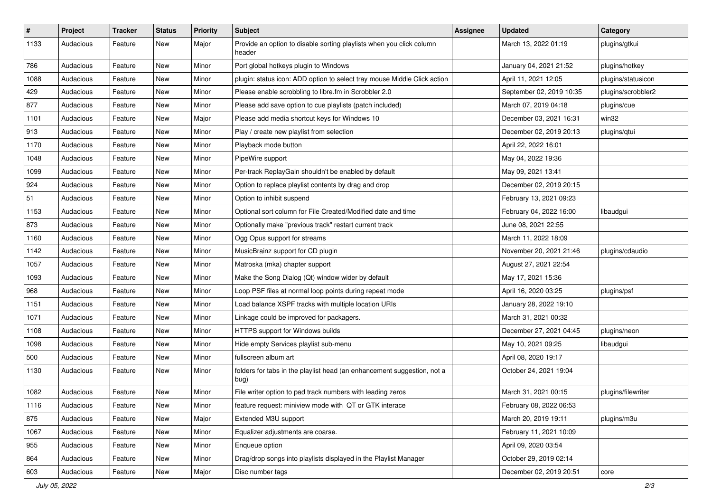| $\vert$ # | Project   | <b>Tracker</b> | <b>Status</b> | <b>Priority</b> | <b>Subject</b>                                                                  | <b>Assignee</b> | <b>Updated</b>           | Category           |
|-----------|-----------|----------------|---------------|-----------------|---------------------------------------------------------------------------------|-----------------|--------------------------|--------------------|
| 1133      | Audacious | Feature        | New           | Major           | Provide an option to disable sorting playlists when you click column<br>header  |                 | March 13, 2022 01:19     | plugins/gtkui      |
| 786       | Audacious | Feature        | New           | Minor           | Port global hotkeys plugin to Windows                                           |                 | January 04, 2021 21:52   | plugins/hotkey     |
| 1088      | Audacious | Feature        | New           | Minor           | plugin: status icon: ADD option to select tray mouse Middle Click action        |                 | April 11, 2021 12:05     | plugins/statusicon |
| 429       | Audacious | Feature        | New           | Minor           | Please enable scrobbling to libre.fm in Scrobbler 2.0                           |                 | September 02, 2019 10:35 | plugins/scrobbler2 |
| 877       | Audacious | Feature        | New           | Minor           | Please add save option to cue playlists (patch included)                        |                 | March 07, 2019 04:18     | plugins/cue        |
| 1101      | Audacious | Feature        | New           | Major           | Please add media shortcut keys for Windows 10                                   |                 | December 03, 2021 16:31  | win32              |
| 913       | Audacious | Feature        | New           | Minor           | Play / create new playlist from selection                                       |                 | December 02, 2019 20:13  | plugins/qtui       |
| 1170      | Audacious | Feature        | New           | Minor           | Playback mode button                                                            |                 | April 22, 2022 16:01     |                    |
| 1048      | Audacious | Feature        | New           | Minor           | PipeWire support                                                                |                 | May 04, 2022 19:36       |                    |
| 1099      | Audacious | Feature        | New           | Minor           | Per-track ReplayGain shouldn't be enabled by default                            |                 | May 09, 2021 13:41       |                    |
| 924       | Audacious | Feature        | New           | Minor           | Option to replace playlist contents by drag and drop                            |                 | December 02, 2019 20:15  |                    |
| 51        | Audacious | Feature        | New           | Minor           | Option to inhibit suspend                                                       |                 | February 13, 2021 09:23  |                    |
| 1153      | Audacious | Feature        | New           | Minor           | Optional sort column for File Created/Modified date and time                    |                 | February 04, 2022 16:00  | libaudgui          |
| 873       | Audacious | Feature        | New           | Minor           | Optionally make "previous track" restart current track                          |                 | June 08, 2021 22:55      |                    |
| 1160      | Audacious | Feature        | New           | Minor           | Ogg Opus support for streams                                                    |                 | March 11, 2022 18:09     |                    |
| 1142      | Audacious | Feature        | New           | Minor           | MusicBrainz support for CD plugin                                               |                 | November 20, 2021 21:46  | plugins/cdaudio    |
| 1057      | Audacious | Feature        | New           | Minor           | Matroska (mka) chapter support                                                  |                 | August 27, 2021 22:54    |                    |
| 1093      | Audacious | Feature        | New           | Minor           | Make the Song Dialog (Qt) window wider by default                               |                 | May 17, 2021 15:36       |                    |
| 968       | Audacious | Feature        | New           | Minor           | Loop PSF files at normal loop points during repeat mode                         |                 | April 16, 2020 03:25     | plugins/psf        |
| 1151      | Audacious | Feature        | New           | Minor           | Load balance XSPF tracks with multiple location URIs                            |                 | January 28, 2022 19:10   |                    |
| 1071      | Audacious | Feature        | New           | Minor           | Linkage could be improved for packagers.                                        |                 | March 31, 2021 00:32     |                    |
| 1108      | Audacious | Feature        | New           | Minor           | HTTPS support for Windows builds                                                |                 | December 27, 2021 04:45  | plugins/neon       |
| 1098      | Audacious | Feature        | New           | Minor           | Hide empty Services playlist sub-menu                                           |                 | May 10, 2021 09:25       | libaudgui          |
| 500       | Audacious | Feature        | New           | Minor           | fullscreen album art                                                            |                 | April 08, 2020 19:17     |                    |
| 1130      | Audacious | Feature        | New           | Minor           | folders for tabs in the playlist head (an enhancement suggestion, not a<br>bug) |                 | October 24, 2021 19:04   |                    |
| 1082      | Audacious | Feature        | New           | Minor           | File writer option to pad track numbers with leading zeros                      |                 | March 31, 2021 00:15     | plugins/filewriter |
| 1116      | Audacious | Feature        | New           | Minor           | feature request: miniview mode with QT or GTK interace                          |                 | February 08, 2022 06:53  |                    |
| 875       | Audacious | Feature        | New           | Major           | Extended M3U support                                                            |                 | March 20, 2019 19:11     | plugins/m3u        |
| 1067      | Audacious | Feature        | New           | Minor           | Equalizer adjustments are coarse.                                               |                 | February 11, 2021 10:09  |                    |
| 955       | Audacious | Feature        | New           | Minor           | Enqueue option                                                                  |                 | April 09, 2020 03:54     |                    |
| 864       | Audacious | Feature        | New           | Minor           | Drag/drop songs into playlists displayed in the Playlist Manager                |                 | October 29, 2019 02:14   |                    |
| 603       | Audacious | Feature        | New           | Major           | Disc number tags                                                                |                 | December 02, 2019 20:51  | core               |